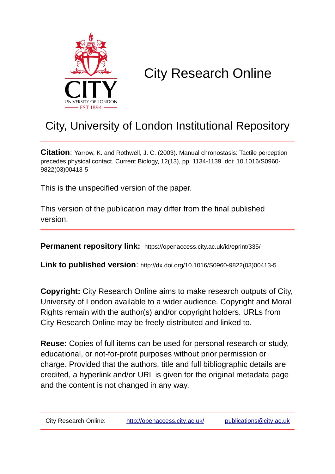

# City Research Online

## City, University of London Institutional Repository

**Citation**: Yarrow, K. and Rothwell, J. C. (2003). Manual chronostasis: Tactile perception precedes physical contact. Current Biology, 12(13), pp. 1134-1139. doi: 10.1016/S0960- 9822(03)00413-5

This is the unspecified version of the paper.

This version of the publication may differ from the final published version.

**Permanent repository link:** https://openaccess.city.ac.uk/id/eprint/335/

**Link to published version**: http://dx.doi.org/10.1016/S0960-9822(03)00413-5

**Copyright:** City Research Online aims to make research outputs of City, University of London available to a wider audience. Copyright and Moral Rights remain with the author(s) and/or copyright holders. URLs from City Research Online may be freely distributed and linked to.

**Reuse:** Copies of full items can be used for personal research or study, educational, or not-for-profit purposes without prior permission or charge. Provided that the authors, title and full bibliographic details are credited, a hyperlink and/or URL is given for the original metadata page and the content is not changed in any way.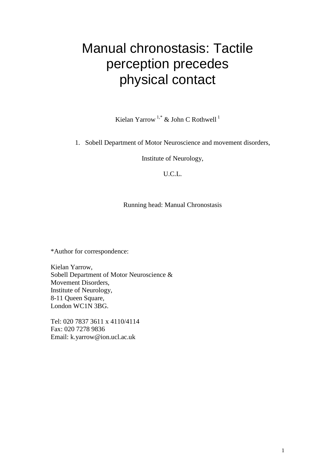## Manual chronostasis: Tactile perception precedes physical contact

Kielan Yarrow  $1$ ,\* & John C Rothwell<sup>1</sup>

1. Sobell Department of Motor Neuroscience and movement disorders,

Institute of Neurology,

U.C.L.

Running head: Manual Chronostasis

\*Author for correspondence:

Kielan Yarrow, Sobell Department of Motor Neuroscience & Movement Disorders, Institute of Neurology, 8-11 Queen Square, London WC1N 3BG.

Tel: 020 7837 3611 x 4110/4114 Fax: 020 7278 9836 Email: k.yarrow@ion.ucl.ac.uk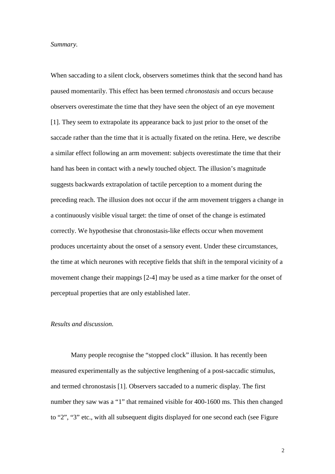#### *Summary.*

When saccading to a silent clock, observers sometimes think that the second hand has paused momentarily. This effect has been termed *chronostasis* and occurs because observers overestimate the time that they have seen the object of an eye movement [1]. They seem to extrapolate its appearance back to just prior to the onset of the saccade rather than the time that it is actually fixated on the retina. Here, we describe a similar effect following an arm movement: subjects overestimate the time that their hand has been in contact with a newly touched object. The illusion's magnitude suggests backwards extrapolation of tactile perception to a moment during the preceding reach. The illusion does not occur if the arm movement triggers a change in a continuously visible visual target: the time of onset of the change is estimated correctly. We hypothesise that chronostasis-like effects occur when movement produces uncertainty about the onset of a sensory event. Under these circumstances, the time at which neurones with receptive fields that shift in the temporal vicinity of a movement change their mappings [2-4] may be used as a time marker for the onset of perceptual properties that are only established later.

### *Results and discussion.*

Many people recognise the "stopped clock" illusion. It has recently been measured experimentally as the subjective lengthening of a post-saccadic stimulus, and termed chronostasis [1]. Observers saccaded to a numeric display. The first number they saw was a "1" that remained visible for 400-1600 ms. This then changed to "2", "3" etc., with all subsequent digits displayed for one second each (see Figure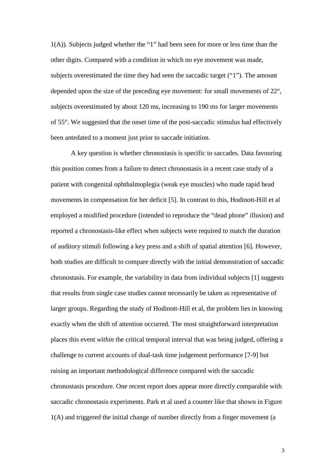1(A)). Subjects judged whether the "1" had been seen for more or less time than the other digits. Compared with a condition in which no eye movement was made, subjects overestimated the time they had seen the saccadic target ("1"). The amount depended upon the size of the preceding eye movement: for small movements of 22°, subjects overestimated by about 120 ms, increasing to 190 ms for larger movements of 55°. We suggested that the onset time of the post-saccadic stimulus had effectively been antedated to a moment just prior to saccade initiation.

A key question is whether chronostasis is specific to saccades. Data favouring this position comes from a failure to detect chronostasis in a recent case study of a patient with congenital ophthalmoplegia (weak eye muscles) who made rapid head movements in compensation for her deficit [5]. In contrast to this, Hodinott-Hill et al employed a modified procedure (intended to reproduce the "dead phone" illusion) and reported a chronostasis-like effect when subjects were required to match the duration of auditory stimuli following a key press and a shift of spatial attention [6]. However, both studies are difficult to compare directly with the initial demonstration of saccadic chronostasis. For example, the variability in data from individual subjects [1] suggests that results from single case studies cannot necessarily be taken as representative of larger groups. Regarding the study of Hodinott-Hill et al, the problem lies in knowing exactly when the shift of attention occurred. The most straightforward interpretation places this event *within* the critical temporal interval that was being judged, offering a challenge to current accounts of dual-task time judgement performance [7-9] but raising an important methodological difference compared with the saccadic chronostasis procedure. One recent report does appear more directly comparable with saccadic chronostasis experiments. Park et al used a counter like that shown in Figure 1(A) and triggered the initial change of number directly from a finger movement (a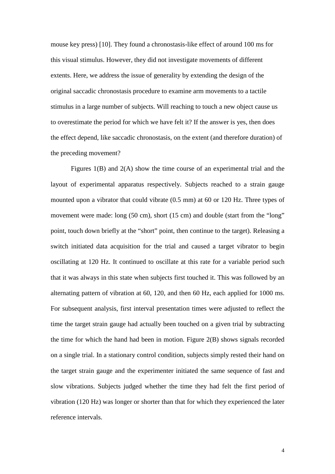mouse key press) [10]. They found a chronostasis-like effect of around 100 ms for this visual stimulus. However, they did not investigate movements of different extents. Here, we address the issue of generality by extending the design of the original saccadic chronostasis procedure to examine arm movements to a tactile stimulus in a large number of subjects. Will reaching to touch a new object cause us to overestimate the period for which we have felt it? If the answer is yes, then does the effect depend, like saccadic chronostasis, on the extent (and therefore duration) of the preceding movement?

Figures 1(B) and 2(A) show the time course of an experimental trial and the layout of experimental apparatus respectively. Subjects reached to a strain gauge mounted upon a vibrator that could vibrate (0.5 mm) at 60 or 120 Hz. Three types of movement were made: long (50 cm), short (15 cm) and double (start from the "long" point, touch down briefly at the "short" point, then continue to the target). Releasing a switch initiated data acquisition for the trial and caused a target vibrator to begin oscillating at 120 Hz. It continued to oscillate at this rate for a variable period such that it was always in this state when subjects first touched it. This was followed by an alternating pattern of vibration at 60, 120, and then 60 Hz, each applied for 1000 ms. For subsequent analysis, first interval presentation times were adjusted to reflect the time the target strain gauge had actually been touched on a given trial by subtracting the time for which the hand had been in motion. Figure 2(B) shows signals recorded on a single trial. In a stationary control condition, subjects simply rested their hand on the target strain gauge and the experimenter initiated the same sequence of fast and slow vibrations. Subjects judged whether the time they had felt the first period of vibration (120 Hz) was longer or shorter than that for which they experienced the later reference intervals.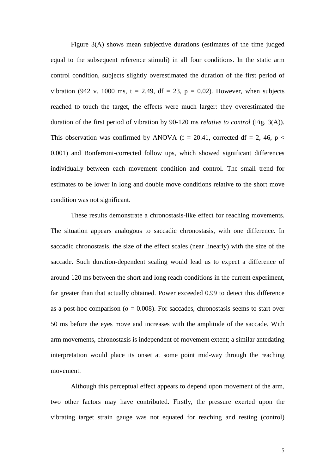Figure 3(A) shows mean subjective durations (estimates of the time judged equal to the subsequent reference stimuli) in all four conditions. In the static arm control condition, subjects slightly overestimated the duration of the first period of vibration (942 v. 1000 ms,  $t = 2.49$ ,  $df = 23$ ,  $p = 0.02$ ). However, when subjects reached to touch the target, the effects were much larger: they overestimated the duration of the first period of vibration by 90-120 ms *relative to control* (Fig. 3(A)). This observation was confirmed by ANOVA ( $f = 20.41$ , corrected df = 2, 46, p < 0.001) and Bonferroni-corrected follow ups, which showed significant differences individually between each movement condition and control. The small trend for estimates to be lower in long and double move conditions relative to the short move condition was not significant.

 These results demonstrate a chronostasis-like effect for reaching movements. The situation appears analogous to saccadic chronostasis, with one difference. In saccadic chronostasis, the size of the effect scales (near linearly) with the size of the saccade. Such duration-dependent scaling would lead us to expect a difference of around 120 ms between the short and long reach conditions in the current experiment, far greater than that actually obtained. Power exceeded 0.99 to detect this difference as a post-hoc comparison ( $\alpha = 0.008$ ). For saccades, chronostasis seems to start over 50 ms before the eyes move and increases with the amplitude of the saccade. With arm movements, chronostasis is independent of movement extent; a similar antedating interpretation would place its onset at some point mid-way through the reaching movement.

 Although this perceptual effect appears to depend upon movement of the arm, two other factors may have contributed. Firstly, the pressure exerted upon the vibrating target strain gauge was not equated for reaching and resting (control)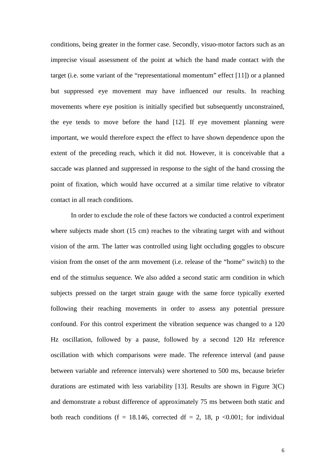conditions, being greater in the former case. Secondly, visuo-motor factors such as an imprecise visual assessment of the point at which the hand made contact with the target (i.e. some variant of the "representational momentum" effect [11]) or a planned but suppressed eye movement may have influenced our results. In reaching movements where eye position is initially specified but subsequently unconstrained, the eye tends to move before the hand [12]. If eye movement planning were important, we would therefore expect the effect to have shown dependence upon the extent of the preceding reach, which it did not. However, it is conceivable that a saccade was planned and suppressed in response to the sight of the hand crossing the point of fixation, which would have occurred at a similar time relative to vibrator contact in all reach conditions.

 In order to exclude the role of these factors we conducted a control experiment where subjects made short (15 cm) reaches to the vibrating target with and without vision of the arm. The latter was controlled using light occluding goggles to obscure vision from the onset of the arm movement (i.e. release of the "home" switch) to the end of the stimulus sequence. We also added a second static arm condition in which subjects pressed on the target strain gauge with the same force typically exerted following their reaching movements in order to assess any potential pressure confound. For this control experiment the vibration sequence was changed to a 120 Hz oscillation, followed by a pause, followed by a second 120 Hz reference oscillation with which comparisons were made. The reference interval (and pause between variable and reference intervals) were shortened to 500 ms, because briefer durations are estimated with less variability [13]. Results are shown in Figure 3(C) and demonstrate a robust difference of approximately 75 ms between both static and both reach conditions (f = 18.146, corrected df = 2, 18, p < 0.001; for individual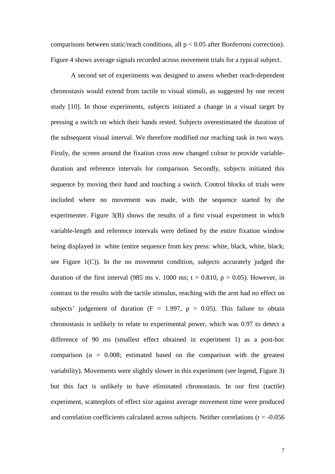comparisons between static/reach conditions, all p < 0.05 after Bonferroni correction). Figure 4 shows average signals recorded across movement trials for a typical subject.

A second set of experiments was designed to assess whether reach-dependent chronostasis would extend from tactile to visual stimuli, as suggested by one recent study [10]. In those experiments, subjects initiated a change in a visual target by pressing a switch on which their hands rested. Subjects overestimated the duration of the subsequent visual interval. We therefore modified our reaching task in two ways. Firstly, the screen around the fixation cross now changed colour to provide variableduration and reference intervals for comparison. Secondly, subjects initiated this sequence by moving their hand and touching a switch. Control blocks of trials were included where no movement was made, with the sequence started by the experimenter. Figure 3(B) shows the results of a first visual experiment in which variable-length and reference intervals were defined by the entire fixation window being displayed in white (entire sequence from key press: white, black, white, black; see Figure 1(C)). In the no movement condition, subjects accurately judged the duration of the first interval (985 ms v. 1000 ms;  $t = 0.810$ ,  $p > 0.05$ ). However, in contrast to the results with the tactile stimulus, reaching with the arm had no effect on subjects' judgement of duration ( $F = 1.997$ ,  $p > 0.05$ ). This failure to obtain chronostasis is unlikely to relate to experimental power, which was 0.97 to detect a difference of 90 ms (smallest effect obtained in experiment 1) as a post-hoc comparison ( $\alpha = 0.008$ ; estimated based on the comparison with the greatest variability). Movements were slightly slower in this experiment (see legend, Figure 3) but this fact is unlikely to have eliminated chronostasis. In our first (tactile) experiment, scatterplots of effect size against average movement time were produced and correlation coefficients calculated across subjects. Neither correlations ( $r = -0.056$ )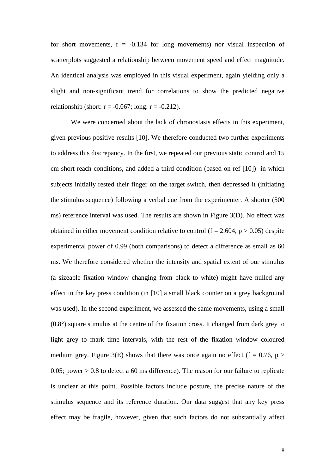for short movements,  $r = -0.134$  for long movements) nor visual inspection of scatterplots suggested a relationship between movement speed and effect magnitude. An identical analysis was employed in this visual experiment, again yielding only a slight and non-significant trend for correlations to show the predicted negative relationship (short:  $r = -0.067$ ; long:  $r = -0.212$ ).

We were concerned about the lack of chronostasis effects in this experiment, given previous positive results [10]. We therefore conducted two further experiments to address this discrepancy. In the first, we repeated our previous static control and 15 cm short reach conditions, and added a third condition (based on ref [10]) in which subjects initially rested their finger on the target switch, then depressed it (initiating the stimulus sequence) following a verbal cue from the experimenter. A shorter (500 ms) reference interval was used. The results are shown in Figure 3(D). No effect was obtained in either movement condition relative to control ( $f = 2.604$ ,  $p > 0.05$ ) despite experimental power of 0.99 (both comparisons) to detect a difference as small as 60 ms. We therefore considered whether the intensity and spatial extent of our stimulus (a sizeable fixation window changing from black to white) might have nulled any effect in the key press condition (in [10] a small black counter on a grey background was used). In the second experiment, we assessed the same movements, using a small (0.8°) square stimulus at the centre of the fixation cross. It changed from dark grey to light grey to mark time intervals, with the rest of the fixation window coloured medium grey. Figure 3(E) shows that there was once again no effect (f = 0.76, p > 0.05; power  $> 0.8$  to detect a 60 ms difference). The reason for our failure to replicate is unclear at this point. Possible factors include posture, the precise nature of the stimulus sequence and its reference duration. Our data suggest that any key press effect may be fragile, however, given that such factors do not substantially affect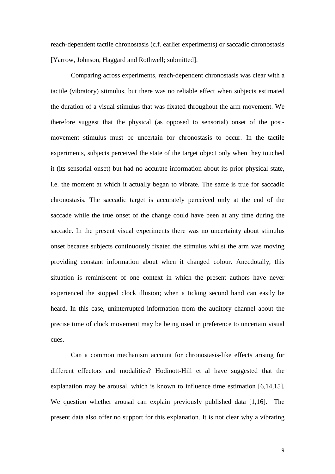reach-dependent tactile chronostasis (c.f. earlier experiments) or saccadic chronostasis [Yarrow, Johnson, Haggard and Rothwell; submitted].

Comparing across experiments, reach-dependent chronostasis was clear with a tactile (vibratory) stimulus, but there was no reliable effect when subjects estimated the duration of a visual stimulus that was fixated throughout the arm movement. We therefore suggest that the physical (as opposed to sensorial) onset of the postmovement stimulus must be uncertain for chronostasis to occur. In the tactile experiments, subjects perceived the state of the target object only when they touched it (its sensorial onset) but had no accurate information about its prior physical state, i.e. the moment at which it actually began to vibrate. The same is true for saccadic chronostasis. The saccadic target is accurately perceived only at the end of the saccade while the true onset of the change could have been at any time during the saccade. In the present visual experiments there was no uncertainty about stimulus onset because subjects continuously fixated the stimulus whilst the arm was moving providing constant information about when it changed colour. Anecdotally, this situation is reminiscent of one context in which the present authors have never experienced the stopped clock illusion; when a ticking second hand can easily be heard. In this case, uninterrupted information from the auditory channel about the precise time of clock movement may be being used in preference to uncertain visual cues.

Can a common mechanism account for chronostasis-like effects arising for different effectors and modalities? Hodinott-Hill et al have suggested that the explanation may be arousal, which is known to influence time estimation [6,14,15]. We question whether arousal can explain previously published data [1,16]. The present data also offer no support for this explanation. It is not clear why a vibrating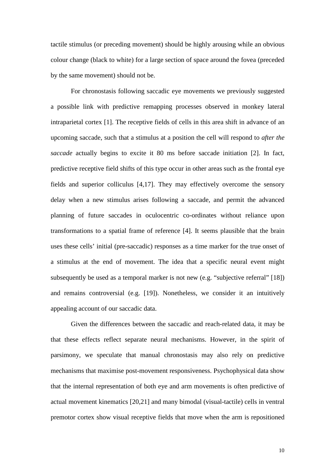tactile stimulus (or preceding movement) should be highly arousing while an obvious colour change (black to white) for a large section of space around the fovea (preceded by the same movement) should not be.

For chronostasis following saccadic eye movements we previously suggested a possible link with predictive remapping processes observed in monkey lateral intraparietal cortex [1]. The receptive fields of cells in this area shift in advance of an upcoming saccade, such that a stimulus at a position the cell will respond to *after the saccade* actually begins to excite it 80 ms before saccade initiation [2]. In fact, predictive receptive field shifts of this type occur in other areas such as the frontal eye fields and superior colliculus [4,17]. They may effectively overcome the sensory delay when a new stimulus arises following a saccade, and permit the advanced planning of future saccades in oculocentric co-ordinates without reliance upon transformations to a spatial frame of reference [4]. It seems plausible that the brain uses these cells' initial (pre-saccadic) responses as a time marker for the true onset of a stimulus at the end of movement. The idea that a specific neural event might subsequently be used as a temporal marker is not new (e.g. "subjective referral" [18]) and remains controversial (e.g. [19]). Nonetheless, we consider it an intuitively appealing account of our saccadic data.

 Given the differences between the saccadic and reach-related data, it may be that these effects reflect separate neural mechanisms. However, in the spirit of parsimony, we speculate that manual chronostasis may also rely on predictive mechanisms that maximise post-movement responsiveness. Psychophysical data show that the internal representation of both eye and arm movements is often predictive of actual movement kinematics [20,21] and many bimodal (visual-tactile) cells in ventral premotor cortex show visual receptive fields that move when the arm is repositioned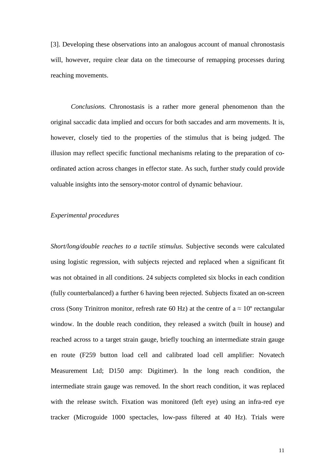[3]. Developing these observations into an analogous account of manual chronostasis will, however, require clear data on the timecourse of remapping processes during reaching movements.

*Conclusions.* Chronostasis is a rather more general phenomenon than the original saccadic data implied and occurs for both saccades and arm movements. It is, however, closely tied to the properties of the stimulus that is being judged. The illusion may reflect specific functional mechanisms relating to the preparation of coordinated action across changes in effector state. As such, further study could provide valuable insights into the sensory-motor control of dynamic behaviour.

#### *Experimental procedures*

*Short/long/double reaches to a tactile stimulus.* Subjective seconds were calculated using logistic regression, with subjects rejected and replaced when a significant fit was not obtained in all conditions. 24 subjects completed six blocks in each condition (fully counterbalanced) a further 6 having been rejected. Subjects fixated an on-screen cross (Sony Trinitron monitor, refresh rate 60 Hz) at the centre of  $a \approx 10^{\circ}$  rectangular window. In the double reach condition, they released a switch (built in house) and reached across to a target strain gauge, briefly touching an intermediate strain gauge en route (F259 button load cell and calibrated load cell amplifier: Novatech Measurement Ltd; D150 amp: Digitimer). In the long reach condition, the intermediate strain gauge was removed. In the short reach condition, it was replaced with the release switch. Fixation was monitored (left eye) using an infra-red eye tracker (Microguide 1000 spectacles, low-pass filtered at 40 Hz). Trials were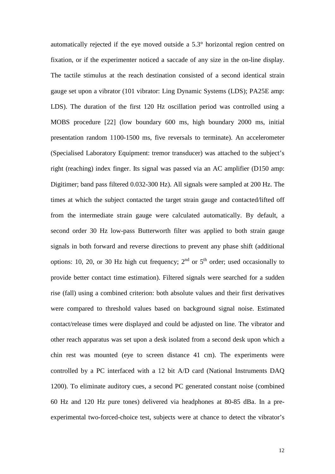automatically rejected if the eye moved outside a 5.3° horizontal region centred on fixation, or if the experimenter noticed a saccade of any size in the on-line display. The tactile stimulus at the reach destination consisted of a second identical strain gauge set upon a vibrator (101 vibrator: Ling Dynamic Systems (LDS); PA25E amp: LDS). The duration of the first 120 Hz oscillation period was controlled using a MOBS procedure [22] (low boundary 600 ms, high boundary 2000 ms, initial presentation random 1100-1500 ms, five reversals to terminate). An accelerometer (Specialised Laboratory Equipment: tremor transducer) was attached to the subject's right (reaching) index finger. Its signal was passed via an AC amplifier (D150 amp: Digitimer; band pass filtered 0.032-300 Hz). All signals were sampled at 200 Hz. The times at which the subject contacted the target strain gauge and contacted/lifted off from the intermediate strain gauge were calculated automatically. By default, a second order 30 Hz low-pass Butterworth filter was applied to both strain gauge signals in both forward and reverse directions to prevent any phase shift (additional options: 10, 20, or 30 Hz high cut frequency;  $2<sup>nd</sup>$  or  $5<sup>th</sup>$  order; used occasionally to provide better contact time estimation). Filtered signals were searched for a sudden rise (fall) using a combined criterion: both absolute values and their first derivatives were compared to threshold values based on background signal noise. Estimated contact/release times were displayed and could be adjusted on line. The vibrator and other reach apparatus was set upon a desk isolated from a second desk upon which a chin rest was mounted (eye to screen distance 41 cm). The experiments were controlled by a PC interfaced with a 12 bit A/D card (National Instruments DAQ 1200). To eliminate auditory cues, a second PC generated constant noise (combined 60 Hz and 120 Hz pure tones) delivered via headphones at 80-85 dBa. In a preexperimental two-forced-choice test, subjects were at chance to detect the vibrator's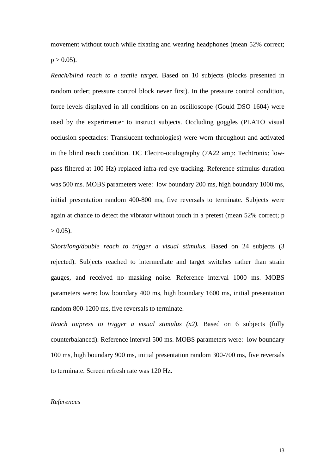movement without touch while fixating and wearing headphones (mean 52% correct;  $p > 0.05$ ).

*Reach/blind reach to a tactile target.* Based on 10 subjects (blocks presented in random order; pressure control block never first). In the pressure control condition, force levels displayed in all conditions on an oscilloscope (Gould DSO 1604) were used by the experimenter to instruct subjects. Occluding goggles (PLATO visual occlusion spectacles: Translucent technologies) were worn throughout and activated in the blind reach condition. DC Electro-oculography (7A22 amp: Techtronix; lowpass filtered at 100 Hz) replaced infra-red eye tracking. Reference stimulus duration was 500 ms. MOBS parameters were: low boundary 200 ms, high boundary 1000 ms, initial presentation random 400-800 ms, five reversals to terminate. Subjects were again at chance to detect the vibrator without touch in a pretest (mean 52% correct; p  $> 0.05$ ).

*Short/long/double reach to trigger a visual stimulus.* Based on 24 subjects (3 rejected). Subjects reached to intermediate and target switches rather than strain gauges, and received no masking noise. Reference interval 1000 ms. MOBS parameters were: low boundary 400 ms, high boundary 1600 ms, initial presentation random 800-1200 ms, five reversals to terminate.

*Reach to/press to trigger a visual stimulus (x2).* Based on 6 subjects (fully counterbalanced). Reference interval 500 ms. MOBS parameters were: low boundary 100 ms, high boundary 900 ms, initial presentation random 300-700 ms, five reversals to terminate. Screen refresh rate was 120 Hz.

#### *References*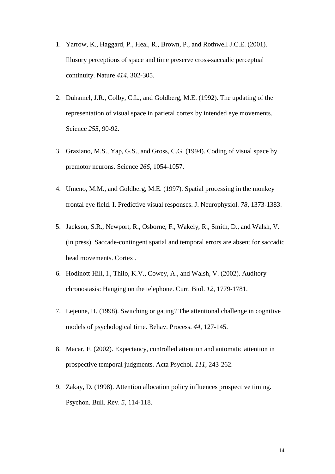- 1. Yarrow, K., Haggard, P., Heal, R., Brown, P., and Rothwell J.C.E. (2001). Illusory perceptions of space and time preserve cross-saccadic perceptual continuity. Nature *414*, 302-305.
- 2. Duhamel, J.R., Colby, C.L., and Goldberg, M.E. (1992). The updating of the representation of visual space in parietal cortex by intended eye movements. Science *255*, 90-92.
- 3. Graziano, M.S., Yap, G.S., and Gross, C.G. (1994). Coding of visual space by premotor neurons. Science *266*, 1054-1057.
- 4. Umeno, M.M., and Goldberg, M.E. (1997). Spatial processing in the monkey frontal eye field. I. Predictive visual responses. J. Neurophysiol. *78*, 1373-1383.
- 5. Jackson, S.R., Newport, R., Osborne, F., Wakely, R., Smith, D., and Walsh, V. (in press). Saccade-contingent spatial and temporal errors are absent for saccadic head movements. Cortex .
- 6. Hodinott-Hill, I., Thilo, K.V., Cowey, A., and Walsh, V. (2002). Auditory chronostasis: Hanging on the telephone. Curr. Biol. *12,* 1779-1781.
- 7. Lejeune, H. (1998). Switching or gating? The attentional challenge in cognitive models of psychological time. Behav. Process. *44*, 127-145.
- 8. Macar, F. (2002). Expectancy, controlled attention and automatic attention in prospective temporal judgments. Acta Psychol. *111*, 243-262.
- 9. Zakay, D. (1998). Attention allocation policy influences prospective timing. Psychon. Bull. Rev. *5*, 114-118.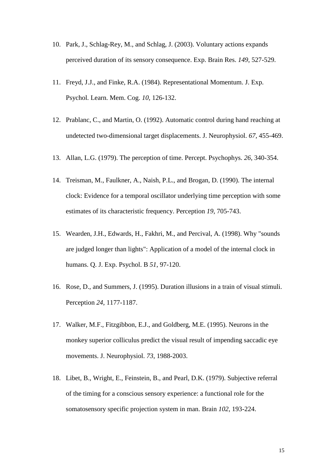- 10. Park, J., Schlag-Rey, M., and Schlag, J. (2003). Voluntary actions expands perceived duration of its sensory consequence. Exp. Brain Res. *149*, 527-529.
- 11. Freyd, J.J., and Finke, R.A. (1984). Representational Momentum. J. Exp. Psychol. Learn. Mem. Cog. *10*, 126-132.
- 12. Prablanc, C., and Martin, O. (1992). Automatic control during hand reaching at undetected two-dimensional target displacements. J. Neurophysiol. *67*, 455-469.
- 13. Allan, L.G. (1979). The perception of time. Percept. Psychophys. *26*, 340-354.
- 14. Treisman, M., Faulkner, A., Naish, P.L., and Brogan, D. (1990). The internal clock: Evidence for a temporal oscillator underlying time perception with some estimates of its characteristic frequency. Perception *19*, 705-743.
- 15. Wearden, J.H., Edwards, H., Fakhri, M., and Percival, A. (1998). Why "sounds are judged longer than lights": Application of a model of the internal clock in humans. Q. J. Exp. Psychol. B *51*, 97-120.
- 16. Rose, D., and Summers, J. (1995). Duration illusions in a train of visual stimuli. Perception *24*, 1177-1187.
- 17. Walker, M.F., Fitzgibbon, E.J., and Goldberg, M.E. (1995). Neurons in the monkey superior colliculus predict the visual result of impending saccadic eye movements. J. Neurophysiol. *73*, 1988-2003.
- 18. Libet, B., Wright, E., Feinstein, B., and Pearl, D.K. (1979). Subjective referral of the timing for a conscious sensory experience: a functional role for the somatosensory specific projection system in man. Brain *102*, 193-224.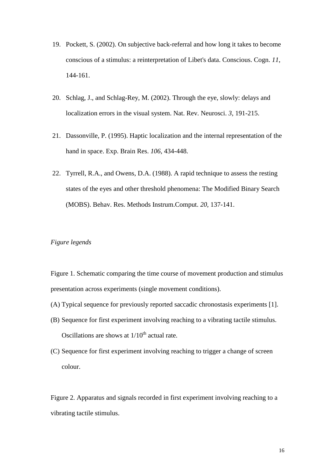- 19. Pockett, S. (2002). On subjective back-referral and how long it takes to become conscious of a stimulus: a reinterpretation of Libet's data. Conscious. Cogn. *11*, 144-161.
- 20. Schlag, J., and Schlag-Rey, M. (2002). Through the eye, slowly: delays and localization errors in the visual system. Nat. Rev. Neurosci. *3*, 191-215.
- 21. Dassonville, P. (1995). Haptic localization and the internal representation of the hand in space. Exp. Brain Res. *106*, 434-448.
- 22. Tyrrell, R.A., and Owens, D.A. (1988). A rapid technique to assess the resting states of the eyes and other threshold phenomena: The Modified Binary Search (MOBS). Behav. Res. Methods Instrum.Comput. *20,* 137-141.

### *Figure legends*

Figure 1. Schematic comparing the time course of movement production and stimulus presentation across experiments (single movement conditions).

- (A) Typical sequence for previously reported saccadic chronostasis experiments [1].
- (B) Sequence for first experiment involving reaching to a vibrating tactile stimulus. Oscillations are shows at  $1/10<sup>th</sup>$  actual rate.
- (C) Sequence for first experiment involving reaching to trigger a change of screen colour.

Figure 2. Apparatus and signals recorded in first experiment involving reaching to a vibrating tactile stimulus.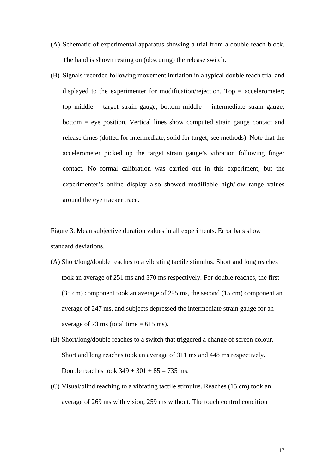- (A) Schematic of experimental apparatus showing a trial from a double reach block. The hand is shown resting on (obscuring) the release switch.
- (B) Signals recorded following movement initiation in a typical double reach trial and displayed to the experimenter for modification/rejection. Top  $=$  accelerometer; top middle  $=$  target strain gauge; bottom middle  $=$  intermediate strain gauge; bottom = eye position. Vertical lines show computed strain gauge contact and release times (dotted for intermediate, solid for target; see methods). Note that the accelerometer picked up the target strain gauge's vibration following finger contact. No formal calibration was carried out in this experiment, but the experimenter's online display also showed modifiable high/low range values around the eye tracker trace.

Figure 3. Mean subjective duration values in all experiments. Error bars show standard deviations.

- (A) Short/long/double reaches to a vibrating tactile stimulus. Short and long reaches took an average of 251 ms and 370 ms respectively. For double reaches, the first (35 cm) component took an average of 295 ms, the second (15 cm) component an average of 247 ms, and subjects depressed the intermediate strain gauge for an average of 73 ms (total time  $= 615$  ms).
- (B) Short/long/double reaches to a switch that triggered a change of screen colour. Short and long reaches took an average of 311 ms and 448 ms respectively. Double reaches took  $349 + 301 + 85 = 735$  ms.
- (C) Visual/blind reaching to a vibrating tactile stimulus. Reaches (15 cm) took an average of 269 ms with vision, 259 ms without. The touch control condition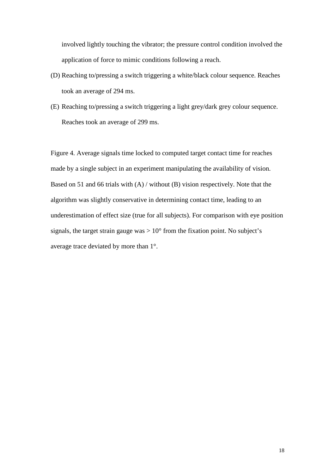involved lightly touching the vibrator; the pressure control condition involved the application of force to mimic conditions following a reach.

- (D) Reaching to/pressing a switch triggering a white/black colour sequence. Reaches took an average of 294 ms.
- (E) Reaching to/pressing a switch triggering a light grey/dark grey colour sequence. Reaches took an average of 299 ms.

Figure 4. Average signals time locked to computed target contact time for reaches made by a single subject in an experiment manipulating the availability of vision. Based on 51 and 66 trials with (A) / without (B) vision respectively. Note that the algorithm was slightly conservative in determining contact time, leading to an underestimation of effect size (true for all subjects). For comparison with eye position signals, the target strain gauge was  $> 10^{\circ}$  from the fixation point. No subject's average trace deviated by more than 1°.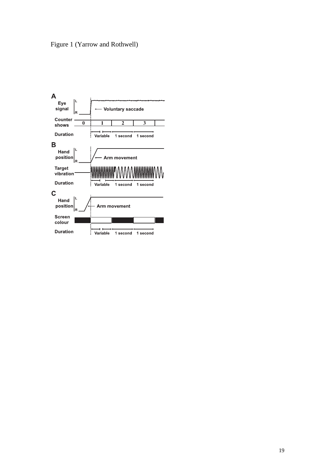

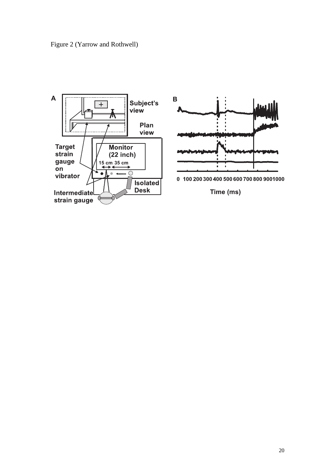

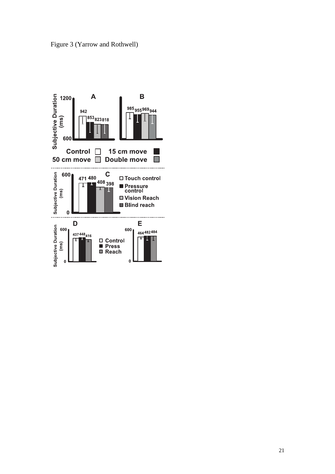